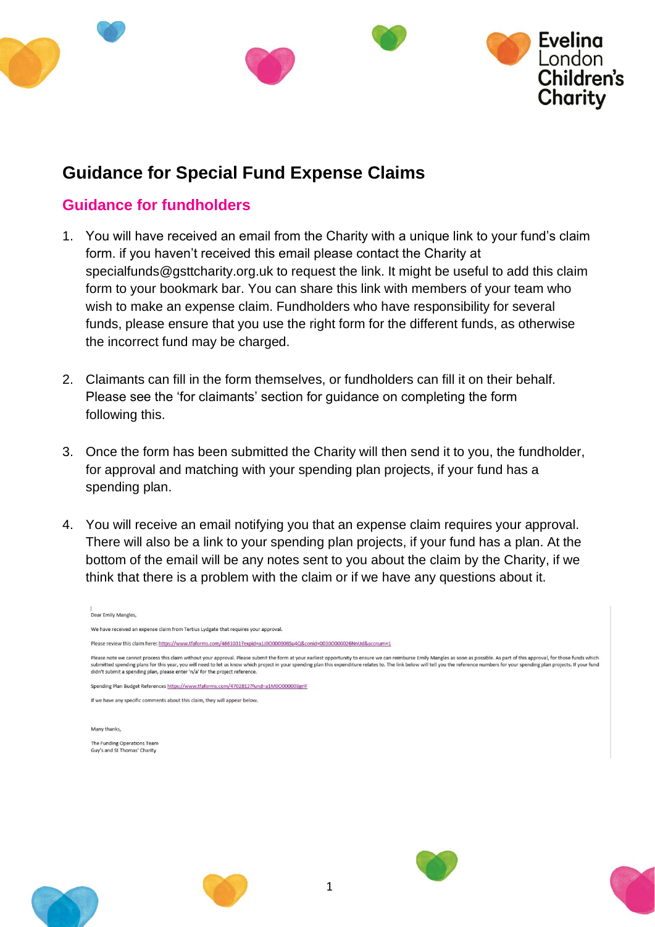

## **Guidance for Special Fund Expense Claims**

## **Guidance for fundholders**

- 1. You will have received an email from the Charity with a unique link to your fund's claim form. if you haven't received this email please contact the Charity at specialfunds@gsttcharity.org.uk to request the link. It might be useful to add this claim form to your bookmark bar. You can share this link with members of your team who wish to make an expense claim. Fundholders who have responsibility for several funds, please ensure that you use the right form for the different funds, as otherwise the incorrect fund may be charged.
- 2. Claimants can fill in the form themselves, or fundholders can fill it on their behalf. Please see the 'for claimants' section for guidance on completing the form following this.
- 3. Once the form has been submitted the Charity will then send it to you, the fundholder, for approval and matching with your spending plan projects, if your fund has a spending plan.
- 4. You will receive an email notifying you that an expense claim requires your approval. There will also be a link to your spending plan projects, if your fund has a plan. At the bottom of the email will be any notes sent to you about the claim by the Charity, if we think that there is a problem with the claim or if we have any questions about it.

| Dear Emily Mangles,                                                                                                                                                                                                                                                                                                                                                                                                                                                                                                                              |
|--------------------------------------------------------------------------------------------------------------------------------------------------------------------------------------------------------------------------------------------------------------------------------------------------------------------------------------------------------------------------------------------------------------------------------------------------------------------------------------------------------------------------------------------------|
| We have received an expense claim from Tertius Lydgate that requires your approval.                                                                                                                                                                                                                                                                                                                                                                                                                                                              |
| Please review this claim here: https://www.tfaforms.com/4661031?expid=a1J0O000008Su4Q&conid=0030O000026NnUd&accnum=1                                                                                                                                                                                                                                                                                                                                                                                                                             |
| Please note we cannot process this claim without your approval. Please submit the form at your earliest opportunity to ensure we can reimburse Emily Mangles as soon as possible. As part of this approval, for those funds wh<br>submitted spending plans for this year, you will need to let us know which project in your spending plan this expenditure relates to. The link below will tell you the reference numbers for your spending plan projects. If y<br>didn't submit a spending plan, please enter 'n/a' for the project reference. |
| Spending Plan Budget References https://www.tfaforms.com/4702812?fund=a1M0O00003grIF                                                                                                                                                                                                                                                                                                                                                                                                                                                             |
| If we have any specific comments about this claim, they will appear below.                                                                                                                                                                                                                                                                                                                                                                                                                                                                       |
|                                                                                                                                                                                                                                                                                                                                                                                                                                                                                                                                                  |
| Many thanks,                                                                                                                                                                                                                                                                                                                                                                                                                                                                                                                                     |
| The Funding Operations Team<br>Guy's and St Thomas' Charity                                                                                                                                                                                                                                                                                                                                                                                                                                                                                      |
|                                                                                                                                                                                                                                                                                                                                                                                                                                                                                                                                                  |
|                                                                                                                                                                                                                                                                                                                                                                                                                                                                                                                                                  |







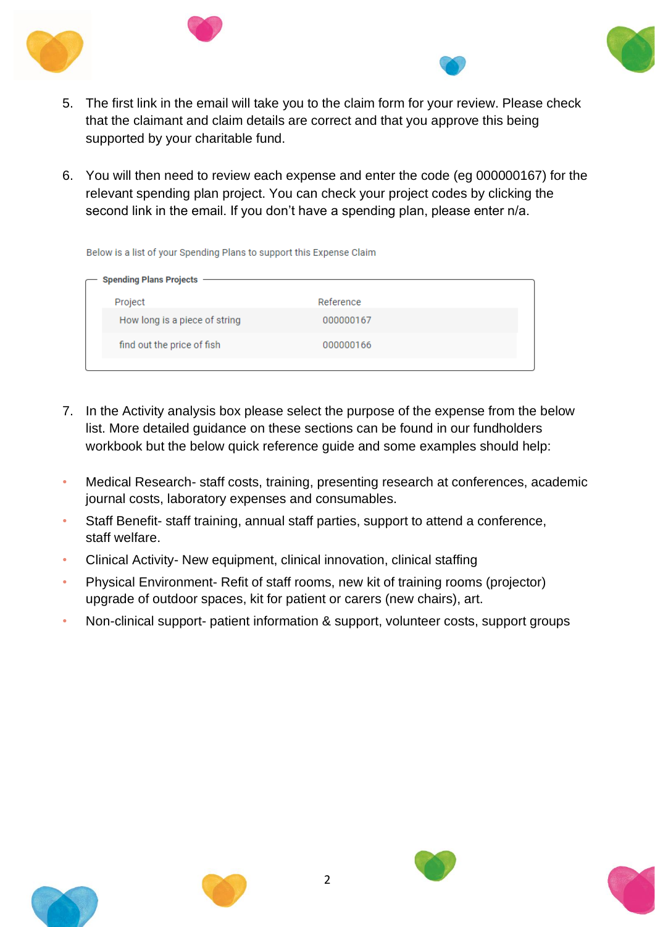





- 5. The first link in the email will take you to the claim form for your review. Please check that the claimant and claim details are correct and that you approve this being supported by your charitable fund.
- 6. You will then need to review each expense and enter the code (eg 000000167) for the relevant spending plan project. You can check your project codes by clicking the second link in the email. If you don't have a spending plan, please enter n/a.

Below is a list of your Spending Plans to support this Expense Claim

| - Spending Plans Projects     |           |  |  |  |  |  |
|-------------------------------|-----------|--|--|--|--|--|
| Project                       | Reference |  |  |  |  |  |
| How long is a piece of string | 000000167 |  |  |  |  |  |
| find out the price of fish    | 000000166 |  |  |  |  |  |
|                               |           |  |  |  |  |  |

- 7. In the Activity analysis box please select the purpose of the expense from the below list. More detailed guidance on these sections can be found in our fundholders workbook but the below quick reference guide and some examples should help:
- Medical Research- staff costs, training, presenting research at conferences, academic journal costs, laboratory expenses and consumables.
- Staff Benefit- staff training, annual staff parties, support to attend a conference, staff welfare.
- Clinical Activity- New equipment, clinical innovation, clinical staffing
- Physical Environment- Refit of staff rooms, new kit of training rooms (projector) upgrade of outdoor spaces, kit for patient or carers (new chairs), art.
- Non-clinical support- patient information & support, volunteer costs, support groups